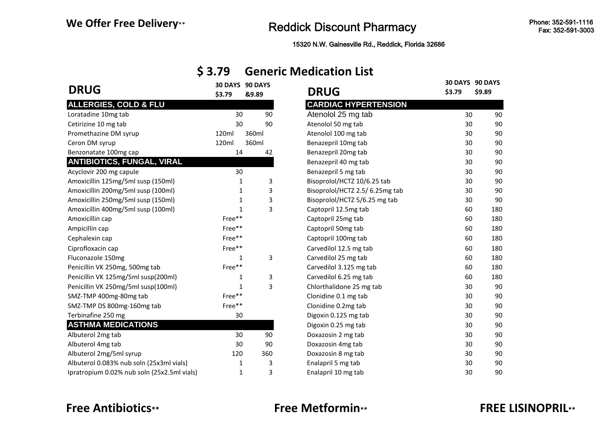# We Offer Free Delivery<sub>\*\*</sub><br>Reddick Discount Pharmacy

15320 N.W. Gainesville Rd., Reddick, Florida 32686

## **\$ 3.79 Generic Medication List**

| <b>DRUG</b>                                    | \$3.79 | 30 DAYS 90 DAYS<br>&9.89 | <b>DRUG</b>                    | \$3.79 | 30 DAYS 90 DAYS<br>\$9.89 |
|------------------------------------------------|--------|--------------------------|--------------------------------|--------|---------------------------|
| <b>ALLERGIES, COLD &amp; FLU</b>               |        |                          | <b>CARDIAC HYPERTENSION</b>    |        |                           |
| Loratadine 10mg tab                            | 30     | 90                       | Atenolol 25 mg tab             | 30     | 90                        |
| Cetirizine 10 mg tab                           | 30     | 90                       | Atenolol 50 mg tab             | 30     | 90                        |
| Promethazine DM syrup                          | 120ml  | 360ml                    | Atenolol 100 mg tab            | 30     | 90                        |
| Ceron DM syrup                                 | 120ml  | 360ml                    | Benazepril 10mg tab            | 30     | 90                        |
| Benzonatate 100mg cap                          | 14     | 42                       | Benazepril 20mg tab            | 30     | 90                        |
| <b>ANTIBIOTICS, FUNGAL, VIRAL</b>              |        |                          | Benazepril 40 mg tab           | 30     | 90                        |
| Acyclovir 200 mg capule                        | 30     |                          | Benazepril 5 mg tab            | 30     | 90                        |
| Amoxicillin 125mg/5ml susp (150ml)             |        | 3<br>1                   | Bisoprolol/HCTZ 10/6.25 tab    | 30     | 90                        |
| Amoxicillin 200mg/5ml susp (100ml)             |        | 3<br>1                   | Bisoprolol/HCTZ 2.5/6.25mg tab | 30     | 90                        |
| Amoxicillin 250mg/5ml susp (150ml)             |        | 3<br>1                   | Bisoprolol/HCTZ 5/6.25 mg tab  | 30     | 90                        |
| Amoxicillin 400mg/5ml susp (100ml)             |        | 3<br>1                   | Captopril 12.5mg tab           | 60     | 180                       |
| Amoxicillin cap                                | Free** |                          | Captopril 25mg tab             | 60     | 180                       |
| Ampicillin cap                                 | Free** |                          | Captopril 50mg tab             | 60     | 180                       |
| Cephalexin cap                                 | Free** |                          | Captopril 100mg tab            | 60     | 180                       |
| Ciprofloxacin cap                              | Free** |                          | Carvedilol 12.5 mg tab         | 60     | 180                       |
| Fluconazole 150mg                              | 1      | 3                        | Carvedilol 25 mg tab           | 60     | 180                       |
| Penicillin VK 250mg, 500mg tab                 | Free** |                          | Carvedilol 3.125 mg tab        | 60     | 180                       |
| Penicillin VK 125mg/5ml susp(200ml)            |        | 3<br>1                   | Carvedilol 6.25 mg tab         | 60     | 180                       |
| Penicillin VK 250mg/5ml susp(100ml)            |        | 3<br>1                   | Chlorthalidone 25 mg tab       | 30     | 90                        |
| SMZ-TMP 400mg-80mg tab                         | Free** |                          | Clonidine 0.1 mg tab           | 30     | 90                        |
| SMZ-TMP DS 800mg-160mg tab                     | Free** |                          | Clonidine 0.2mg tab            | 30     | 90                        |
| Terbinafine 250 mg                             | 30     |                          | Digoxin 0.125 mg tab           | 30     | 90                        |
| <b>ASTHMA MEDICATIONS</b>                      |        |                          | Digoxin 0.25 mg tab            | 30     | 90                        |
| Albuterol 2mg tab                              | 30     | 90                       | Doxazosin 2 mg tab             | 30     | 90                        |
| Albuterol 4mg tab                              | 30     | 90                       | Doxazosin 4mg tab              | 30     | 90                        |
| Albuterol 2mg/5ml syrup                        | 120    | 360                      | Doxazosin 8 mg tab             | 30     | 90                        |
| Albuterol 0.083% nub soln (25x3ml vials)       | 1      | 3                        | Enalapril 5 mg tab             | 30     | 90                        |
| Inratronium $0.02\%$ nuh soln (25x2 5ml vials) |        | ς                        | Fnalanril 10 mø tah.           | 30     | 90                        |

| <b>DRUG</b>                                 | \$3.79 | 30 DAYS 90 DAYS<br>&9.89 | <b>DRUG</b>                     | \$3.79 | 30 DAYS 90 DAYS<br>\$9.89 |
|---------------------------------------------|--------|--------------------------|---------------------------------|--------|---------------------------|
| <b>ALLERGIES, COLD &amp; FLU</b>            |        |                          | <b>CARDIAC HYPERTENSION</b>     |        |                           |
| Loratadine 10mg tab                         | 30     | 90                       | Atenolol 25 mg tab              | 30     | 90                        |
| Cetirizine 10 mg tab                        | 30     | 90                       | Atenolol 50 mg tab              | 30     | 90                        |
| Promethazine DM syrup                       | 120ml  | 360ml                    | Atenolol 100 mg tab             | 30     | 90                        |
| Ceron DM syrup                              | 120ml  | 360ml                    | Benazepril 10mg tab             | 30     | 90                        |
| Benzonatate 100mg cap                       | 14     | 42                       | Benazepril 20mg tab             | 30     | 90                        |
| <b>ANTIBIOTICS, FUNGAL, VIRAL</b>           |        |                          | Benazepril 40 mg tab            | 30     | 90                        |
| Acyclovir 200 mg capule                     | 30     |                          | Benazepril 5 mg tab             | 30     | 90                        |
| Amoxicillin 125mg/5ml susp (150ml)          | 1      | 3                        | Bisoprolol/HCTZ 10/6.25 tab     | 30     | 90                        |
| Amoxicillin 200mg/5ml susp (100ml)          | 1      | 3                        | Bisoprolol/HCTZ 2.5/ 6.25mg tab | 30     | 90                        |
| Amoxicillin 250mg/5ml susp (150ml)          | 1      | 3                        | Bisoprolol/HCTZ 5/6.25 mg tab   | 30     | 90                        |
| Amoxicillin 400mg/5ml susp (100ml)          | 1      | 3                        | Captopril 12.5mg tab            | 60     | 180                       |
| Amoxicillin cap                             | Free** |                          | Captopril 25mg tab              | 60     | 180                       |
| Ampicillin cap                              | Free** |                          | Captopril 50mg tab              | 60     | 180                       |
| Cephalexin cap                              | Free** |                          | Captopril 100mg tab             | 60     | 180                       |
| Ciprofloxacin cap                           | Free** |                          | Carvedilol 12.5 mg tab          | 60     | 180                       |
| Fluconazole 150mg                           | 1      | 3                        | Carvedilol 25 mg tab            | 60     | 180                       |
| Penicillin VK 250mg, 500mg tab              | Free** |                          | Carvedilol 3.125 mg tab         | 60     | 180                       |
| Penicillin VK 125mg/5ml susp(200ml)         | 1      | 3                        | Carvedilol 6.25 mg tab          | 60     | 180                       |
| Penicillin VK 250mg/5ml susp(100ml)         | 1      | 3                        | Chlorthalidone 25 mg tab        | 30     | 90                        |
| SMZ-TMP 400mg-80mg tab                      | Free** |                          | Clonidine 0.1 mg tab            | 30     | 90                        |
| SMZ-TMP DS 800mg-160mg tab                  | Free** |                          | Clonidine 0.2mg tab             | 30     | 90                        |
| Terbinafine 250 mg                          | 30     |                          | Digoxin 0.125 mg tab            | 30     | 90                        |
| <b>ASTHMA MEDICATIONS</b>                   |        |                          | Digoxin 0.25 mg tab             | 30     | 90                        |
| Albuterol 2mg tab                           | 30     | 90                       | Doxazosin 2 mg tab              | 30     | 90                        |
| Albuterol 4mg tab                           | 30     | 90                       | Doxazosin 4mg tab               | 30     | 90                        |
| Albuterol 2mg/5ml syrup                     | 120    | 360                      | Doxazosin 8 mg tab              | 30     | 90                        |
| Albuterol 0.083% nub soln (25x3ml vials)    | 1      | 3                        | Enalapril 5 mg tab              | 30     | 90                        |
| Ipratropium 0.02% nub soln (25x2.5ml vials) | 1      | 3                        | Enalapril 10 mg tab             | 30     | 90                        |

## **Free Antibiotics\*\* Free Metformin\*\* FREE LISINOPRIL\*\***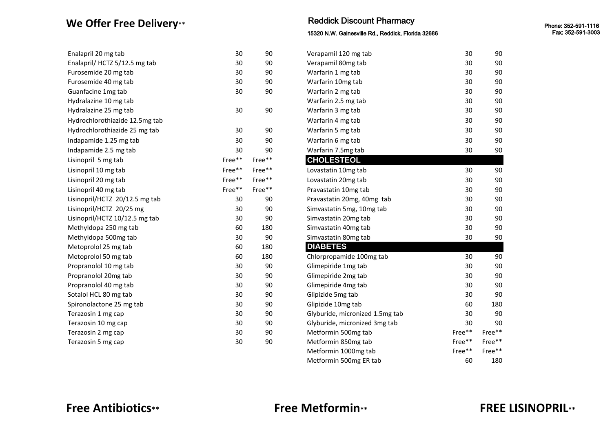### **We Offer Free Delivery\*\***

| Enalapril 20 mg tab            | 30     | 90     | Verapamil 120 mg tab            | 30                                | 90                          |
|--------------------------------|--------|--------|---------------------------------|-----------------------------------|-----------------------------|
| Enalapril/ HCTZ 5/12.5 mg tab  | 30     | 90     | Verapamil 80mg tab              | 30                                | 90                          |
| Furosemide 20 mg tab           | 30     | 90     | Warfarin 1 mg tab               | 30                                | 90                          |
| Furosemide 40 mg tab           | 30     | 90     | Warfarin 10mg tab               | 30                                | 90                          |
| Guanfacine 1mg tab             | 30     | 90     | Warfarin 2 mg tab               | 30                                | 90                          |
| Hydralazine 10 mg tab          |        |        | Warfarin 2.5 mg tab             | 30                                | 90                          |
| Hydralazine 25 mg tab          | 30     | 90     | Warfarin 3 mg tab               | 30                                | 90                          |
| Hydrochlorothiazide 12.5mg tab |        |        | Warfarin 4 mg tab               | 30                                | 90                          |
| Hydrochlorothiazide 25 mg tab  | 30     | 90     | Warfarin 5 mg tab               | 30                                | 90                          |
| Indapamide 1.25 mg tab         | 30     | 90     | Warfarin 6 mg tab               | 30                                | 90                          |
| Indapamide 2.5 mg tab          | 30     | 90     | Warfarin 7.5mg tab              | 30                                | 90                          |
| Lisinopril 5 mg tab            | Free** | Free** | <b>CHOLESTEOL</b>               |                                   |                             |
| Lisinopril 10 mg tab           | Free** | Free** | Lovastatin 10mg tab             | 30                                | 90                          |
| Lisinopril 20 mg tab           | Free** | Free** | Lovastatin 20mg tab             | 30                                | 90                          |
| Lisinopril 40 mg tab           | Free** | Free** | Pravastatin 10mg tab            | 30                                | 90                          |
| Lisinopril/HCTZ 20/12.5 mg tab | 30     | 90     | Pravastatin 20mg, 40mg tab      | 30                                | 90                          |
| Lisinopril/HCTZ 20/25 mg       | 30     | 90     | Simvastatin 5mg, 10mg tab       | 30                                | 90                          |
| Lisinopril/HCTZ 10/12.5 mg tab | 30     | 90     | Simvastatin 20mg tab            | 30                                | 90                          |
| Methyldopa 250 mg tab          | 60     | 180    | Simvastatin 40mg tab            | 30                                | 90                          |
| Methyldopa 500mg tab           | 30     | 90     | Simvastatin 80mg tab            | 30                                | 90                          |
| Metoprolol 25 mg tab           | 60     | 180    | <b>DIABETES</b>                 |                                   |                             |
| Metoprolol 50 mg tab           | 60     | 180    | Chlorpropamide 100mg tab        | 30                                | 90                          |
| Propranolol 10 mg tab          | 30     | 90     | Glimepiride 1mg tab             | 30                                | 90                          |
| Propranolol 20mg tab           | 30     | 90     | Glimepiride 2mg tab             | 30                                | 90                          |
| Propranolol 40 mg tab          | 30     | 90     | Glimepiride 4mg tab             | 30                                | 90                          |
| Sotalol HCL 80 mg tab          | 30     | 90     | Glipizide 5mg tab               | 30                                | 90                          |
| Spironolactone 25 mg tab       | 30     | 90     | Glipizide 10mg tab              | 60                                | 180                         |
| Terazosin 1 mg cap             | 30     | 90     | Glyburide, micronized 1.5mg tab | 30                                | 90                          |
| Terazosin 10 mg cap            | 30     | 90     | Glyburide, micronized 3mg tab   | 30                                | 90                          |
| Terazosin 2 mg cap             | 30     | 90     | Metformin 500mg tab             | Free**                            | Free**                      |
| Terazosin 5 mg cap             | 30     | 90     | Metformin 850mg tab             | Free**                            | Free**                      |
|                                |        |        | $M = L$                         | $F \cdot \cdot \cdot \cdot \cdot$ | <b>F</b> <sub>n</sub> 2 * * |

### Reddick Discount Pharmacy Reddick Discount Pharmacy

15320 N.W. Gainesville Rd., Reddick, Florida 32686 15320 N.W. Gainesville Rd., Reddick, Florida 32686

| Verapamil 120 mg tab            | 30     | 90     |
|---------------------------------|--------|--------|
| Verapamil 80mg tab              | 30     | 90     |
| Warfarin 1 mg tab               | 30     | 90     |
| Warfarin 10mg tab               | 30     | 90     |
| Warfarin 2 mg tab               | 30     | 90     |
| Warfarin 2.5 mg tab             | 30     | 90     |
| Warfarin 3 mg tab               | 30     | 90     |
| Warfarin 4 mg tab               | 30     | 90     |
| Warfarin 5 mg tab               | 30     | 90     |
| Warfarin 6 mg tab               | 30     | 90     |
| Warfarin 7.5mg tab              | 30     | 90     |
| <b>CHOLESTEOL</b>               |        |        |
| Lovastatin 10mg tab             | 30     | 90     |
| Lovastatin 20mg tab             | 30     | 90     |
| Pravastatin 10mg tab            | 30     | 90     |
| Pravastatin 20mg, 40mg tab      | 30     | 90     |
| Simvastatin 5mg, 10mg tab       | 30     | 90     |
| Simvastatin 20mg tab            | 30     | 90     |
| Simvastatin 40mg tab            | 30     | 90     |
| Simvastatin 80mg tab            | 30     | 90     |
| <b>DIABETES</b>                 |        |        |
| Chlorpropamide 100mg tab        | 30     | 90     |
| Glimepiride 1mg tab             | 30     | 90     |
| Glimepiride 2mg tab             | 30     | 90     |
| Glimepiride 4mg tab             | 30     | 90     |
| Glipizide 5mg tab               | 30     | 90     |
| Glipizide 10mg tab              | 60     | 180    |
| Glyburide, micronized 1.5mg tab | 30     | 90     |
| Glyburide, micronized 3mg tab   | 30     | 90     |
| Metformin 500mg tab             | Free** | Free** |
| Metformin 850mg tab             | Free** | Free** |
| Metformin 1000mg tab            | Free** | Free** |
| Metformin 500mg ER tab          | 60     | 180    |

### **Free Antibiotics\*\* Free Metformin\*\* FREE LISINOPRIL\*\***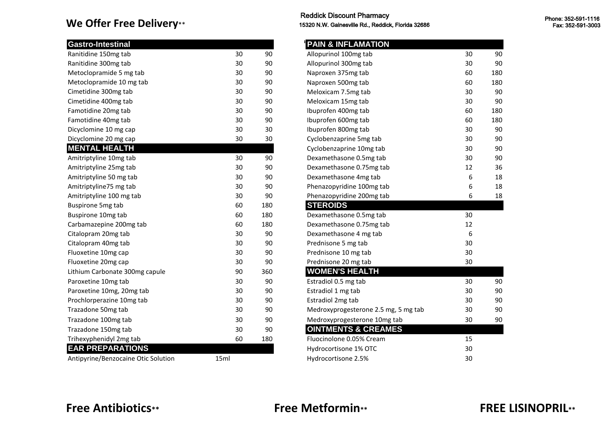### **We Offer Free Delivery\*\***

| <b>Gastro-Intestinal</b>            |      |     | <b>PAIN &amp; INFLAMATION</b>        |    |     |
|-------------------------------------|------|-----|--------------------------------------|----|-----|
| Ranitidine 150mg tab                | 30   | 90  | Allopurinol 100mg tab                | 30 | 90  |
| Ranitidine 300mg tab                | 30   | 90  | Allopurinol 300mg tab                | 30 | 90  |
| Metoclopramide 5 mg tab             | 30   | 90  | Naproxen 375mg tab                   | 60 | 180 |
| Metoclopramide 10 mg tab            | 30   | 90  | Naproxen 500mg tab                   | 60 | 180 |
| Cimetidine 300mg tab                | 30   | 90  | Meloxicam 7.5mg tab                  | 30 | 90  |
| Cimetidine 400mg tab                | 30   | 90  | Meloxicam 15mg tab                   | 30 | 90  |
| Famotidine 20mg tab                 | 30   | 90  | Ibuprofen 400mg tab                  | 60 | 180 |
| Famotidine 40mg tab                 | 30   | 90  | Ibuprofen 600mg tab                  | 60 | 180 |
| Dicyclomine 10 mg cap               | 30   | 30  | Ibuprofen 800mg tab                  | 30 | 90  |
| Dicyclomine 20 mg cap               | 30   | 30  | Cyclobenzaprine 5mg tab              | 30 | 90  |
| <b>MENTAL HEALTH</b>                |      |     | Cyclobenzaprine 10mg tab             | 30 | 90  |
| Amitriptyline 10mg tab              | 30   | 90  | Dexamethasone 0.5mg tab              | 30 | 90  |
| Amitriptyline 25mg tab              | 30   | 90  | Dexamethasone 0.75mg tab             | 12 | 36  |
| Amitriptyline 50 mg tab             | 30   | 90  | Dexamethasone 4mg tab                | 6  | 18  |
| Amitriptyline75 mg tab              | 30   | 90  | Phenazopyridine 100mg tab            | 6  | 18  |
| Amitriptyline 100 mg tab            | 30   | 90  | Phenazopyridine 200mg tab            | 6  | 18  |
| <b>Buspirone 5mg tab</b>            | 60   | 180 | <b>STEROIDS</b>                      |    |     |
| Buspirone 10mg tab                  | 60   | 180 | Dexamethasone 0.5mg tab              | 30 |     |
| Carbamazepine 200mg tab             | 60   | 180 | Dexamethasone 0.75mg tab             | 12 |     |
| Citalopram 20mg tab                 | 30   | 90  | Dexamethasone 4 mg tab               | 6  |     |
| Citalopram 40mg tab                 | 30   | 90  | Prednisone 5 mg tab                  | 30 |     |
| Fluoxetine 10mg cap                 | 30   | 90  | Prednisone 10 mg tab                 | 30 |     |
| Fluoxetine 20mg cap                 | 30   | 90  | Prednisone 20 mg tab                 | 30 |     |
| Lithium Carbonate 300mg capule      | 90   | 360 | <b>WOMEN'S HEALTH</b>                |    |     |
| Paroxetine 10mg tab                 | 30   | 90  | Estradiol 0.5 mg tab                 | 30 | 90  |
| Paroxetine 10mg, 20mg tab           | 30   | 90  | Estradiol 1 mg tab                   | 30 | 90  |
| Prochlorperazine 10mg tab           | 30   | 90  | Estradiol 2mg tab                    | 30 | 90  |
| Trazadone 50mg tab                  | 30   | 90  | Medroxyprogesterone 2.5 mg, 5 mg tab | 30 | 90  |
| Trazadone 100mg tab                 | 30   | 90  | Medroxyprogesterone 10mg tab         | 30 | 90  |
| Trazadone 150mg tab                 | 30   | 90  | <b>OINTMENTS &amp; CREAMES</b>       |    |     |
| Trihexyphenidyl 2mg tab             | 60   | 180 | Fluocinolone 0.05% Cream             | 15 |     |
| <b>EAR PREPARATIONS</b>             |      |     | Hydrocortisone 1% OTC                | 30 |     |
| Antipyrine/Benzocaine Otic Solution | 15ml |     | Hydrocortisone 2.5%                  | 30 |     |
|                                     |      |     |                                      |    |     |

### Reddick Discount Pharmacy 15320 N.W. Gainesville Rd., Reddick, Florida 32686

| <b>PAIN &amp; INFLAMATION</b>        |    |     |
|--------------------------------------|----|-----|
| Allopurinol 100mg tab                | 30 | 90  |
| Allopurinol 300mg tab                | 30 | 90  |
| Naproxen 375mg tab                   | 60 | 180 |
| Naproxen 500mg tab                   | 60 | 180 |
| Meloxicam 7.5mg tab                  | 30 | 90  |
| Meloxicam 15mg tab                   | 30 | 90  |
| Ibuprofen 400mg tab                  | 60 | 180 |
| Ibuprofen 600mg tab                  | 60 | 180 |
| Ibuprofen 800mg tab                  | 30 | 90  |
| Cyclobenzaprine 5mg tab              | 30 | 90  |
| Cyclobenzaprine 10mg tab             | 30 | 90  |
| Dexamethasone 0.5mg tab              | 30 | 90  |
| Dexamethasone 0.75mg tab             | 12 | 36  |
| Dexamethasone 4mg tab                | 6  | 18  |
| Phenazopyridine 100mg tab            | 6  | 18  |
| Phenazopyridine 200mg tab            | 6  | 18  |
| <b>STEROIDS</b>                      |    |     |
| Dexamethasone 0.5mg tab              | 30 |     |
| Dexamethasone 0.75mg tab             | 12 |     |
| Dexamethasone 4 mg tab               | 6  |     |
| Prednisone 5 mg tab                  | 30 |     |
| Prednisone 10 mg tab                 | 30 |     |
| Prednisone 20 mg tab                 | 30 |     |
| <b>WOMEN'S HEALTH</b>                |    |     |
| Estradiol 0.5 mg tab                 | 30 | 90  |
| Estradiol 1 mg tab                   | 30 | 90  |
| Estradiol 2mg tab                    | 30 | 90  |
| Medroxyprogesterone 2.5 mg, 5 mg tab | 30 | 90  |
| Medroxyprogesterone 10mg tab         | 30 | 90  |
| <b>OINTMENTS &amp; CREAMES</b>       |    |     |
| Fluocinolone 0.05% Cream             | 15 |     |
| Hydrocortisone 1% OTC                | 30 |     |
| Hydrocortisone 2.5%                  | 30 |     |

## **Free Antibiotics\*\* Free Metformin\*\* FREE LISINOPRIL\*\***